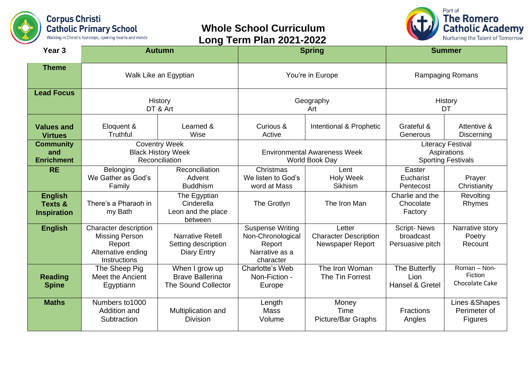

## **Whole School Curriculum Long Term Plan 2021-2022**



| Year <sub>3</sub>                                          | <b>Autumn</b>                                                                                  |                                                                        | <b>Spring</b>                                                                         |                                                            | <b>Summer</b>                                                        |                                           |
|------------------------------------------------------------|------------------------------------------------------------------------------------------------|------------------------------------------------------------------------|---------------------------------------------------------------------------------------|------------------------------------------------------------|----------------------------------------------------------------------|-------------------------------------------|
| <b>Theme</b>                                               | Walk Like an Egyptian                                                                          |                                                                        | You're in Europe                                                                      |                                                            | <b>Rampaging Romans</b>                                              |                                           |
| <b>Lead Focus</b>                                          | History<br>DT & Art                                                                            |                                                                        | Geography<br>Art                                                                      |                                                            | History<br>DT                                                        |                                           |
| <b>Values and</b><br><b>Virtues</b>                        | Eloquent &<br><b>Truthful</b>                                                                  | Learned &<br>Wise                                                      | Curious &<br>Active                                                                   | Intentional & Prophetic                                    | Grateful &<br>Generous                                               | Attentive &<br><b>Discerning</b>          |
| <b>Community</b><br>and<br><b>Enrichment</b>               | <b>Coventry Week</b><br><b>Black History Week</b><br>Reconciliation                            |                                                                        | <b>Environmental Awareness Week</b><br>World Book Day                                 |                                                            | <b>Literacy Festival</b><br>Aspirations<br><b>Sporting Festivals</b> |                                           |
| <b>RE</b>                                                  | Belonging<br>We Gather as God's<br>Family                                                      | Reconciliation<br>Advent<br><b>Buddhism</b>                            | Christmas<br>We listen to God's<br>word at Mass                                       | Lent<br><b>Holy Week</b><br>Sikhism                        | Easter<br>Eucharist<br>Pentecost                                     | Prayer<br>Christianity                    |
| <b>English</b><br><b>Texts &amp;</b><br><b>Inspiration</b> | There's a Pharaoh in<br>my Bath                                                                | The Egyptian<br>Cinderella<br>Leon and the place<br>between            | The Grotlyn                                                                           | The Iron Man                                               | Charlie and the<br>Chocolate<br>Factory                              | Revolting<br>Rhymes                       |
| <b>English</b>                                             | Character description<br><b>Missing Person</b><br>Report<br>Alternative ending<br>Instructions | <b>Narrative Retell</b><br>Setting description<br><b>Diary Entry</b>   | <b>Suspense Writing</b><br>Non-Chronological<br>Report<br>Narrative as a<br>character | Letter<br><b>Character Description</b><br>Newspaper Report | <b>Script-News</b><br>broadcast<br>Persuasive pitch                  | Narrative story<br>Poetry<br>Recount      |
| <b>Reading</b><br><b>Spine</b>                             | The Sheep Pig<br><b>Meet the Ancient</b><br>Egyptiann                                          | When I grow up<br><b>Brave Ballerina</b><br><b>The Sound Collector</b> | Charlotte's Web<br>Non-Fiction -<br>Europe                                            | The Iron Woman<br>The Tin Forrest                          | The Butterfly<br>Lion<br>Hansel & Gretel                             | Roman - Non-<br>Fiction<br>Chocolate Cake |
| <b>Maths</b>                                               | Numbers to 1000<br>Addition and<br>Subtraction                                                 | Multiplication and<br><b>Division</b>                                  | Length<br><b>Mass</b><br>Volume                                                       | Money<br>Time<br>Picture/Bar Graphs                        | <b>Fractions</b><br>Angles                                           | Lines & Shapes<br>Perimeter of<br>Figures |